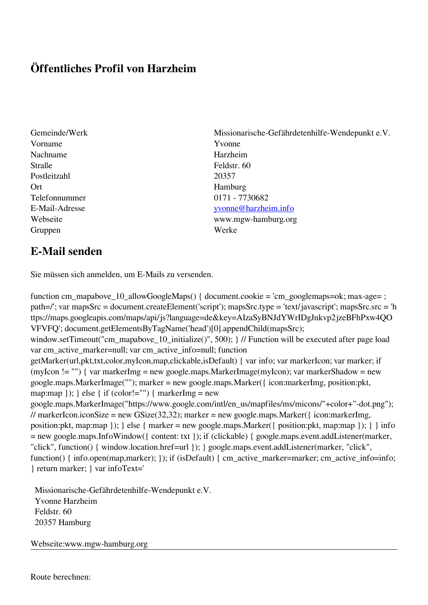## **Öffentliches Profil von Harzheim**

- Gemeinde/Werk Missionarische-Gefährdetenhilfe-Wendepunkt e.V. Vorname Yvonne Nachname Harzheim Straße Feldstr. 60 Postleitzahl 20357 Ort Hamburg Telefonnummer 0171 - 7730682 Gruppen Werke
- E-Mail-Adresse [yvonne@harzheim.info](mailto:yvonne@harzheim.info) Webseite www.mgw-hamburg.org

## **E-Mail senden**

Sie müssen sich anmelden, um E-Mails zu versenden.

function cm\_mapabove\_10\_allowGoogleMaps() { document.cookie = 'cm\_googlemaps=ok; max-age= ; path=/'; var mapsSrc = document.createElement('script'); mapsSrc.type = 'text/javascript'; mapsSrc.src = 'h ttps://maps.googleapis.com/maps/api/js?language=de&key=AIzaSyBNJdYWrIDgJnkvp2jzeBFhPxw4QO VFVFQ'; document.getElementsByTagName('head')[0].appendChild(mapsSrc); window.setTimeout("cm\_mapabove\_10\_initialize()", 500); } // Function will be executed after page load var cm\_active\_marker=null; var cm\_active\_info=null; function getMarker(url,pkt,txt,color,myIcon,map,clickable,isDefault) { var info; var markerIcon; var marker; if (myIcon != "") { var markerImg = new google.maps.MarkerImage(myIcon); var markerShadow = new google.maps.MarkerImage(""); marker = new google.maps.Marker({ icon:markerImg, position:pkt, map:map  $\}$ ;  $\}$  else  $\{$  if (color!="")  $\{$  markerImg = new google.maps.MarkerImage("https://www.google.com/intl/en\_us/mapfiles/ms/micons/"+color+"-dot.png"); // markerIcon.iconSize = new GSize(32,32); marker = new google.maps.Marker({ $i$ con:markerImg, position:pkt, map:map }); } else { marker = new google.maps.Marker({ position:pkt, map:map }); } } info = new google.maps.InfoWindow({ content: txt }); if (clickable) { google.maps.event.addListener(marker, "click", function() { window.location.href=url }); } google.maps.event.addListener(marker, "click", function() { info.open(map,marker); }); if (isDefault) { cm\_active\_marker=marker; cm\_active\_info=info; } return marker; } var infoText='

 Missionarische-Gefährdetenhilfe-Wendepunkt e.V. Yvonne Harzheim Feldstr. 60 20357 Hamburg

Webseite:www.mgw-hamburg.org